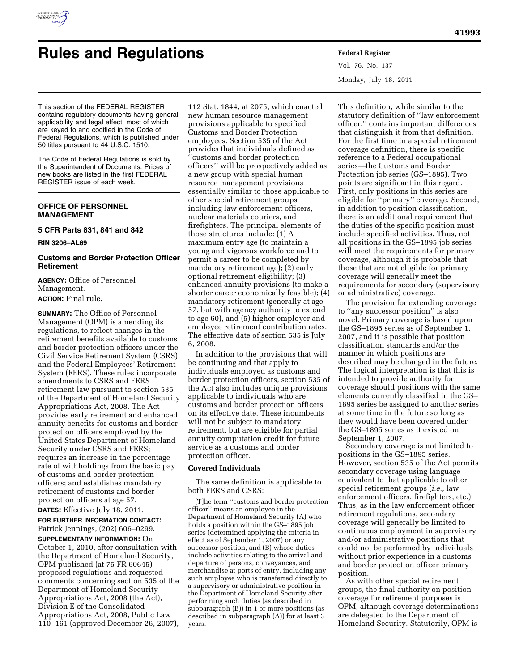

# **Rules and Regulations Federal Register**

Vol. 76, No. 137 Monday, July 18, 2011

This section of the FEDERAL REGISTER contains regulatory documents having general applicability and legal effect, most of which are keyed to and codified in the Code of Federal Regulations, which is published under 50 titles pursuant to 44 U.S.C. 1510.

The Code of Federal Regulations is sold by the Superintendent of Documents. Prices of new books are listed in the first FEDERAL REGISTER issue of each week.

# **OFFICE OF PERSONNEL MANAGEMENT**

## **5 CFR Parts 831, 841 and 842**

**RIN 3206–AL69** 

# **Customs and Border Protection Officer Retirement**

**AGENCY:** Office of Personnel Management. **ACTION:** Final rule.

**SUMMARY:** The Office of Personnel Management (OPM) is amending its regulations, to reflect changes in the retirement benefits available to customs and border protection officers under the Civil Service Retirement System (CSRS) and the Federal Employees' Retirement System (FERS). These rules incorporate amendments to CSRS and FERS retirement law pursuant to section 535 of the Department of Homeland Security Appropriations Act, 2008. The Act provides early retirement and enhanced annuity benefits for customs and border protection officers employed by the United States Department of Homeland Security under CSRS and FERS; requires an increase in the percentage rate of withholdings from the basic pay of customs and border protection officers; and establishes mandatory retirement of customs and border protection officers at age 57.

**DATES:** Effective July 18, 2011.

**FOR FURTHER INFORMATION CONTACT:**  Patrick Jennings, (202) 606–0299. **SUPPLEMENTARY INFORMATION:** On

October 1, 2010, after consultation with the Department of Homeland Security, OPM published (at 75 FR 60645) proposed regulations and requested comments concerning section 535 of the Department of Homeland Security Appropriations Act, 2008 (the Act), Division E of the Consolidated Appropriations Act, 2008, Public Law 110–161 (approved December 26, 2007),

112 Stat. 1844, at 2075, which enacted new human resource management provisions applicable to specified Customs and Border Protection employees. Section 535 of the Act provides that individuals defined as ''customs and border protection officers'' will be prospectively added as a new group with special human resource management provisions essentially similar to those applicable to other special retirement groups including law enforcement officers, nuclear materials couriers, and firefighters. The principal elements of those structures include: (1) A maximum entry age (to maintain a young and vigorous workforce and to permit a career to be completed by mandatory retirement age); (2) early optional retirement eligibility; (3) enhanced annuity provisions (to make a shorter career economically feasible); (4) mandatory retirement (generally at age 57, but with agency authority to extend to age 60), and (5) higher employer and employee retirement contribution rates. The effective date of section 535 is July 6, 2008.

In addition to the provisions that will be continuing and that apply to individuals employed as customs and border protection officers, section 535 of the Act also includes unique provisions applicable to individuals who are customs and border protection officers on its effective date. These incumbents will not be subject to mandatory retirement, but are eligible for partial annuity computation credit for future service as a customs and border protection officer.

# **Covered Individuals**

The same definition is applicable to both FERS and CSRS:

[T]he term ''customs and border protection officer'' means an employee in the Department of Homeland Security (A) who holds a position within the GS–1895 job series (determined applying the criteria in effect as of September 1, 2007) or any successor position, and (B) whose duties include activities relating to the arrival and departure of persons, conveyances, and merchandise at ports of entry, including any such employee who is transferred directly to a supervisory or administrative position in the Department of Homeland Security after performing such duties (as described in subparagraph (B)) in 1 or more positions (as described in subparagraph (A)) for at least 3 years.

This definition, while similar to the statutory definition of ''law enforcement officer,'' contains important differences that distinguish it from that definition. For the first time in a special retirement coverage definition, there is specific reference to a Federal occupational series—the Customs and Border Protection job series (GS–1895). Two points are significant in this regard. First, only positions in this series are eligible for ''primary'' coverage. Second, in addition to position classification, there is an additional requirement that the duties of the specific position must include specified activities. Thus, not all positions in the GS–1895 job series will meet the requirements for primary coverage, although it is probable that those that are not eligible for primary coverage will generally meet the requirements for secondary (supervisory or administrative) coverage.

The provision for extending coverage to ''any successor position'' is also novel. Primary coverage is based upon the GS–1895 series as of September 1, 2007, and it is possible that position classification standards and/or the manner in which positions are described may be changed in the future. The logical interpretation is that this is intended to provide authority for coverage should positions with the same elements currently classified in the GS– 1895 series be assigned to another series at some time in the future so long as they would have been covered under the GS–1895 series as it existed on September 1, 2007.

Secondary coverage is not limited to positions in the GS–1895 series. However, section 535 of the Act permits secondary coverage using language equivalent to that applicable to other special retirement groups (*i.e.,* law enforcement officers, firefighters, etc.). Thus, as in the law enforcement officer retirement regulations, secondary coverage will generally be limited to continuous employment in supervisory and/or administrative positions that could not be performed by individuals without prior experience in a customs and border protection officer primary position.

As with other special retirement groups, the final authority on position coverage for retirement purposes is OPM, although coverage determinations are delegated to the Department of Homeland Security. Statutorily, OPM is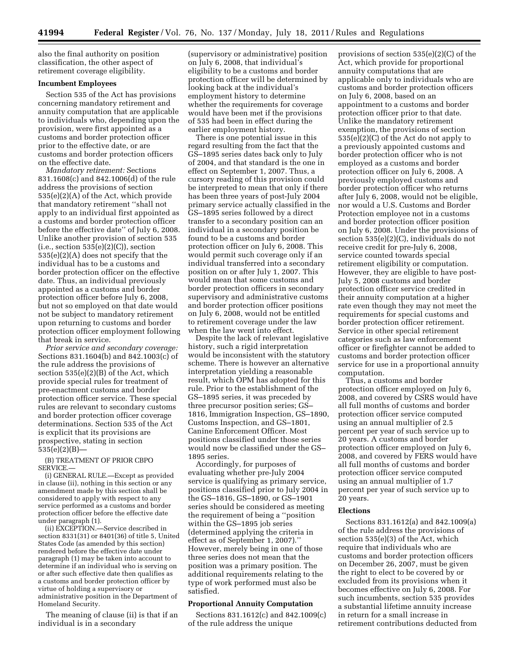also the final authority on position classification, the other aspect of retirement coverage eligibility.

## **Incumbent Employees**

Section 535 of the Act has provisions concerning mandatory retirement and annuity computation that are applicable to individuals who, depending upon the provision, were first appointed as a customs and border protection officer prior to the effective date, or are customs and border protection officers on the effective date.

*Mandatory retirement:* Sections 831.1608(c) and 842.1006(d) of the rule address the provisions of section 535(e)(2)(A) of the Act, which provide that mandatory retirement ''shall not apply to an individual first appointed as a customs and border protection officer before the effective date'' of July 6, 2008. Unlike another provision of section 535  $(i.e., section 535(e)(2)(C)), section$ 535(e)(2)(A) does not specify that the individual has to be a customs and border protection officer on the effective date. Thus, an individual previously appointed as a customs and border protection officer before July 6, 2008, but not so employed on that date would not be subject to mandatory retirement upon returning to customs and border protection officer employment following that break in service.

*Prior service and secondary coverage:*  Sections 831.1604(b) and 842.1003(c) of the rule address the provisions of section 535(e)(2)(B) of the Act, which provide special rules for treatment of pre-enactment customs and border protection officer service. These special rules are relevant to secondary customs and border protection officer coverage determinations. Section 535 of the Act is explicit that its provisions are prospective, stating in section 535(e)(2)(B)—

(B) TREATMENT OF PRIOR CBPO SERVICE.—

(i) GENERAL RULE.—Except as provided in clause (ii), nothing in this section or any amendment made by this section shall be considered to apply with respect to any service performed as a customs and border protection officer before the effective date under paragraph (1).

(ii) EXCEPTION.—Service described in section 8331(31) or 8401(36) of title 5, United States Code (as amended by this section) rendered before the effective date under paragraph (1) may be taken into account to determine if an individual who is serving on or after such effective date then qualifies as a customs and border protection officer by virtue of holding a supervisory or administrative position in the Department of Homeland Security.

The meaning of clause (ii) is that if an individual is in a secondary

(supervisory or administrative) position on July 6, 2008, that individual's eligibility to be a customs and border protection officer will be determined by looking back at the individual's employment history to determine whether the requirements for coverage would have been met if the provisions of 535 had been in effect during the earlier employment history.

There is one potential issue in this regard resulting from the fact that the GS–1895 series dates back only to July of 2004, and that standard is the one in effect on September 1, 2007. Thus, a cursory reading of this provision could be interpreted to mean that only if there has been three years of post-July 2004 primary service actually classified in the GS–1895 series followed by a direct transfer to a secondary position can an individual in a secondary position be found to be a customs and border protection officer on July 6, 2008. This would permit such coverage only if an individual transferred into a secondary position on or after July 1, 2007. This would mean that some customs and border protection officers in secondary supervisory and administrative customs and border protection officer positions on July 6, 2008, would not be entitled to retirement coverage under the law when the law went into effect.

Despite the lack of relevant legislative history, such a rigid interpretation would be inconsistent with the statutory scheme. There is however an alternative interpretation yielding a reasonable result, which OPM has adopted for this rule. Prior to the establishment of the GS–1895 series, it was preceded by three precursor position series; GS– 1816, Immigration Inspection, GS–1890, Customs Inspection, and GS–1801, Canine Enforcement Officer. Most positions classified under those series would now be classified under the GS– 1895 series.

Accordingly, for purposes of evaluating whether pre-July 2004 service is qualifying as primary service, positions classified prior to July 2004 in the GS–1816, GS–1890, or GS–1901 series should be considered as meeting the requirement of being a ''position within the GS–1895 job series (determined applying the criteria in effect as of September 1, 2007).'' However, merely being in one of those three series does not mean that the position was a primary position. The additional requirements relating to the type of work performed must also be satisfied.

#### **Proportional Annuity Computation**

Sections 831.1612(c) and 842.1009(c) of the rule address the unique

provisions of section 535(e)(2)(C) of the Act, which provide for proportional annuity computations that are applicable only to individuals who are customs and border protection officers on July 6, 2008, based on an appointment to a customs and border protection officer prior to that date. Unlike the mandatory retirement exemption, the provisions of section 535(e)(2)(C) of the Act do not apply to a previously appointed customs and border protection officer who is not employed as a customs and border protection officer on July 6, 2008. A previously employed customs and border protection officer who returns after July 6, 2008, would not be eligible, nor would a U.S. Customs and Border Protection employee not in a customs and border protection officer position on July 6, 2008. Under the provisions of section 535(e)(2)(C), individuals do not receive credit for pre-July 6, 2008, service counted towards special retirement eligibility or computation. However, they are eligible to have post-July 5, 2008 customs and border protection officer service credited in their annuity computation at a higher rate even though they may not meet the requirements for special customs and border protection officer retirement. Service in other special retirement categories such as law enforcement officer or firefighter cannot be added to customs and border protection officer service for use in a proportional annuity computation.

Thus, a customs and border protection officer employed on July 6, 2008, and covered by CSRS would have all full months of customs and border protection officer service computed using an annual multiplier of 2.5 percent per year of such service up to 20 years. A customs and border protection officer employed on July 6, 2008, and covered by FERS would have all full months of customs and border protection officer service computed using an annual multiplier of 1.7 percent per year of such service up to 20 years.

### **Elections**

Sections 831.1612(a) and 842.1009(a) of the rule address the provisions of section 535(e)(3) of the Act, which require that individuals who are customs and border protection officers on December 26, 2007, must be given the right to elect to be covered by or excluded from its provisions when it becomes effective on July 6, 2008. For such incumbents, section 535 provides a substantial lifetime annuity increase in return for a small increase in retirement contributions deducted from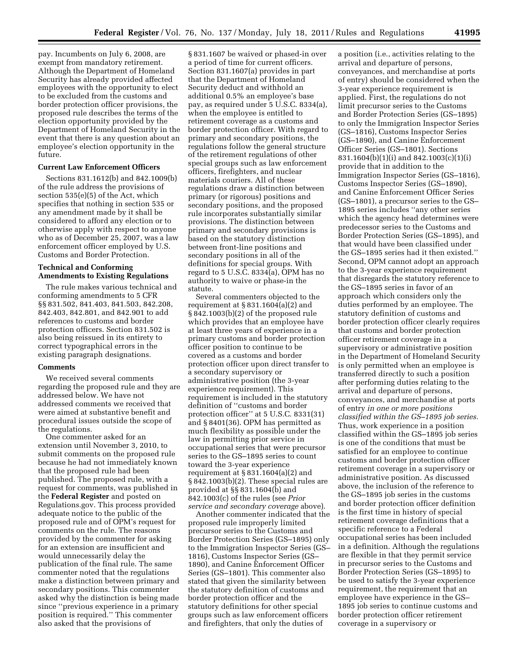pay. Incumbents on July 6, 2008, are exempt from mandatory retirement. Although the Department of Homeland Security has already provided affected employees with the opportunity to elect to be excluded from the customs and border protection officer provisions, the proposed rule describes the terms of the election opportunity provided by the Department of Homeland Security in the event that there is any question about an employee's election opportunity in the future.

## **Current Law Enforcement Officers**

Sections 831.1612(b) and 842.1009(b) of the rule address the provisions of section 535(e)(5) of the Act, which specifies that nothing in section 535 or any amendment made by it shall be considered to afford any election or to otherwise apply with respect to anyone who as of December 25, 2007, was a law enforcement officer employed by U.S. Customs and Border Protection.

#### **Technical and Conforming Amendments to Existing Regulations**

The rule makes various technical and conforming amendments to 5 CFR §§ 831.502, 841.403, 841.503, 842.208, 842.403, 842.801, and 842.901 to add references to customs and border protection officers. Section 831.502 is also being reissued in its entirety to correct typographical errors in the existing paragraph designations.

#### **Comments**

We received several comments regarding the proposed rule and they are addressed below. We have not addressed comments we received that were aimed at substantive benefit and procedural issues outside the scope of the regulations.

One commenter asked for an extension until November 3, 2010, to submit comments on the proposed rule because he had not immediately known that the proposed rule had been published. The proposed rule, with a request for comments, was published in the **Federal Register** and posted on Regulations.gov. This process provided adequate notice to the public of the proposed rule and of OPM's request for comments on the rule. The reasons provided by the commenter for asking for an extension are insufficient and would unnecessarily delay the publication of the final rule. The same commenter noted that the regulations make a distinction between primary and secondary positions. This commenter asked why the distinction is being made since ''previous experience in a primary position is required.'' This commenter also asked that the provisions of

§ 831.1607 be waived or phased-in over a period of time for current officers. Section 831.1607(a) provides in part that the Department of Homeland Security deduct and withhold an additional 0.5% an employee's base pay, as required under 5 U.S.C. 8334(a), when the employee is entitled to retirement coverage as a customs and border protection officer. With regard to primary and secondary positions, the regulations follow the general structure of the retirement regulations of other special groups such as law enforcement officers, firefighters, and nuclear materials couriers. All of these regulations draw a distinction between primary (or rigorous) positions and secondary positions, and the proposed rule incorporates substantially similar provisions. The distinction between primary and secondary provisions is based on the statutory distinction between front-line positions and secondary positions in all of the definitions for special groups. With regard to 5 U.S.C. 8334(a), OPM has no authority to waive or phase-in the statute.

Several commenters objected to the requirement at  $\S 831.1604(a)(2)$  and § 842.1003(b)(2) of the proposed rule which provides that an employee have at least three years of experience in a primary customs and border protection officer position to continue to be covered as a customs and border protection officer upon direct transfer to a secondary supervisory or administrative position (the 3-year experience requirement). This requirement is included in the statutory definition of ''customs and border protection officer'' at 5 U.S.C. 8331(31) and § 8401(36). OPM has permitted as much flexibility as possible under the law in permitting prior service in occupational series that were precursor series to the GS–1895 series to count toward the 3-year experience requirement at  $\S 831.1604(a)(2)$  and § 842.1003(b)(2). These special rules are provided at §§ 831.1604(b) and 842.1003(c) of the rules (see *Prior service and secondary coverage* above).

Another commenter indicated that the proposed rule improperly limited precursor series to the Customs and Border Protection Series (GS–1895) only to the Immigration Inspector Series (GS– 1816), Customs Inspector Series (GS– 1890), and Canine Enforcement Officer Series (GS–1801). This commenter also stated that given the similarity between the statutory definition of customs and border protection officer and the statutory definitions for other special groups such as law enforcement officers and firefighters, that only the duties of

a position (i.e., activities relating to the arrival and departure of persons, conveyances, and merchandise at ports of entry) should be considered when the 3-year experience requirement is applied. First, the regulations do not limit precursor series to the Customs and Border Protection Series (GS–1895) to only the Immigration Inspector Series (GS–1816), Customs Inspector Series (GS–1890), and Canine Enforcement Officer Series (GS–1801). Sections 831.1604(b)(1)(i) and 842.1003(c)(1)(i) provide that in addition to the Immigration Inspector Series (GS–1816), Customs Inspector Series (GS–1890), and Canine Enforcement Officer Series (GS–1801), a precursor series to the GS– 1895 series includes ''any other series which the agency head determines were predecessor series to the Customs and Border Protection Series (GS–1895), and that would have been classified under the GS–1895 series had it then existed.'' Second, OPM cannot adopt an approach to the 3-year experience requirement that disregards the statutory reference to the GS–1895 series in favor of an approach which considers only the duties performed by an employee. The statutory definition of customs and border protection officer clearly requires that customs and border protection officer retirement coverage in a supervisory or administrative position in the Department of Homeland Security is only permitted when an employee is transferred directly to such a position after performing duties relating to the arrival and departure of persons, conveyances, and merchandise at ports of entry *in one or more positions classified within the GS–1895 job series.*  Thus, work experience in a position classified within the GS–1895 job series is one of the conditions that must be satisfied for an employee to continue customs and border protection officer retirement coverage in a supervisory or administrative position. As discussed above, the inclusion of the reference to the GS–1895 job series in the customs and border protection officer definition is the first time in history of special retirement coverage definitions that a specific reference to a Federal occupational series has been included in a definition. Although the regulations are flexible in that they permit service in precursor series to the Customs and Border Protection Series (GS–1895) to be used to satisfy the 3-year experience requirement, the requirement that an employee have experience in the GS– 1895 job series to continue customs and border protection officer retirement coverage in a supervisory or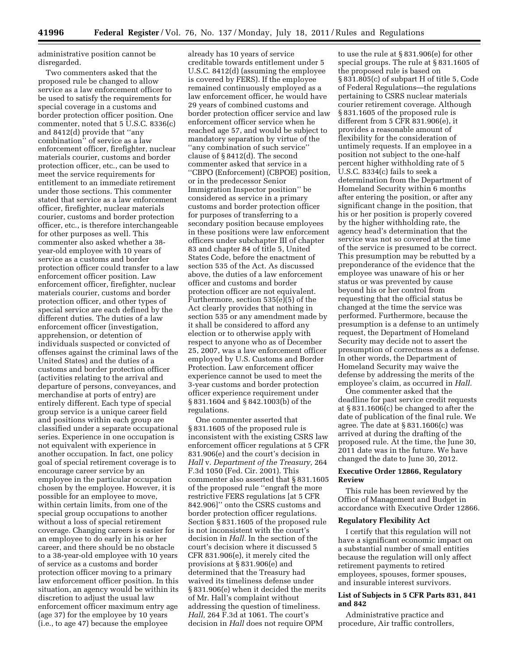administrative position cannot be disregarded.

Two commenters asked that the proposed rule be changed to allow service as a law enforcement officer to be used to satisfy the requirements for special coverage in a customs and border protection officer position. One commenter, noted that 5 U.S.C. 8336(c) and 8412(d) provide that ''any combination'' of service as a law enforcement officer, firefighter, nuclear materials courier, customs and border protection officer, etc., can be used to meet the service requirements for entitlement to an immediate retirement under those sections. This commenter stated that service as a law enforcement officer, firefighter, nuclear materials courier, customs and border protection officer, etc., is therefore interchangeable for other purposes as well. This commenter also asked whether a 38 year-old employee with 10 years of service as a customs and border protection officer could transfer to a law enforcement officer position. Law enforcement officer, firefighter, nuclear materials courier, customs and border protection officer, and other types of special service are each defined by the different duties. The duties of a law enforcement officer (investigation, apprehension, or detention of individuals suspected or convicted of offenses against the criminal laws of the United States) and the duties of a customs and border protection officer (activities relating to the arrival and departure of persons, conveyances, and merchandise at ports of entry) are entirely different. Each type of special group service is a unique career field and positions within each group are classified under a separate occupational series. Experience in one occupation is not equivalent with experience in another occupation. In fact, one policy goal of special retirement coverage is to encourage career service by an employee in the particular occupation chosen by the employee. However, it is possible for an employee to move, within certain limits, from one of the special group occupations to another without a loss of special retirement coverage. Changing careers is easier for an employee to do early in his or her career, and there should be no obstacle to a 38-year-old employee with 10 years of service as a customs and border protection officer moving to a primary law enforcement officer position. In this situation, an agency would be within its discretion to adjust the usual law enforcement officer maximum entry age (age 37) for the employee by 10 years (i.e., to age 47) because the employee

already has 10 years of service creditable towards entitlement under 5 U.S.C. 8412(d) (assuming the employee is covered by FERS). If the employee remained continuously employed as a law enforcement officer, he would have 29 years of combined customs and border protection officer service and law enforcement officer service when he reached age 57, and would be subject to mandatory separation by virtue of the ''any combination of such service'' clause of § 8412(d). The second commenter asked that service in a ''CBPO (Enforcement) (CBPOE) position, or in the predecessor Senior Immigration Inspector position'' be considered as service in a primary customs and border protection officer for purposes of transferring to a secondary position because employees in these positions were law enforcement officers under subchapter III of chapter 83 and chapter 84 of title 5, United States Code, before the enactment of section 535 of the Act. As discussed above, the duties of a law enforcement officer and customs and border protection officer are not equivalent. Furthermore, section 535(e)(5) of the Act clearly provides that nothing in section 535 or any amendment made by it shall be considered to afford any election or to otherwise apply with respect to anyone who as of December 25, 2007, was a law enforcement officer employed by U.S. Customs and Border Protection. Law enforcement officer experience cannot be used to meet the 3-year customs and border protection officer experience requirement under § 831.1604 and § 842.1003(b) of the regulations.

One commenter asserted that § 831.1605 of the proposed rule is inconsistent with the existing CSRS law enforcement officer regulations at 5 CFR 831.906(e) and the court's decision in *Hall* v. *Department of the Treasury,* 264 F.3d 1050 (Fed. Cir. 2001). This commenter also asserted that § 831.1605 of the proposed rule ''engraft the more restrictive FERS regulations [at 5 CFR 842.906]'' onto the CSRS customs and border protection officer regulations. Section § 831.1605 of the proposed rule is not inconsistent with the court's decision in *Hall.* In the section of the court's decision where it discussed 5 CFR 831.906(e), it merely cited the provisions at § 831.906(e) and determined that the Treasury had waived its timeliness defense under § 831.906(e) when it decided the merits of Mr. Hall's complaint without addressing the question of timeliness. *Hall,* 264 F.3d at 1061. The court's decision in *Hall* does not require OPM

to use the rule at § 831.906(e) for other special groups. The rule at § 831.1605 of the proposed rule is based on § 831.805(c) of subpart H of title 5, Code of Federal Regulations—the regulations pertaining to CSRS nuclear materials courier retirement coverage. Although § 831.1605 of the proposed rule is different from 5 CFR 831.906(e), it provides a reasonable amount of flexibility for the consideration of untimely requests. If an employee in a position not subject to the one-half percent higher withholding rate of 5 U.S.C. 8334(c) fails to seek a determination from the Department of Homeland Security within 6 months after entering the position, or after any significant change in the position, that his or her position is properly covered by the higher withholding rate, the agency head's determination that the service was not so covered at the time of the service is presumed to be correct. This presumption may be rebutted by a preponderance of the evidence that the employee was unaware of his or her status or was prevented by cause beyond his or her control from requesting that the official status be changed at the time the service was performed. Furthermore, because the presumption is a defense to an untimely request, the Department of Homeland Security may decide not to assert the presumption of correctness as a defense. In other words, the Department of Homeland Security may waive the defense by addressing the merits of the employee's claim, as occurred in *Hall.* 

One commenter asked that the deadline for past service credit requests at § 831.1606(c) be changed to after the date of publication of the final rule. We agree. The date at § 831.1606(c) was arrived at during the drafting of the proposed rule. At the time, the June 30, 2011 date was in the future. We have changed the date to June 30, 2012.

#### **Executive Order 12866, Regulatory Review**

This rule has been reviewed by the Office of Management and Budget in accordance with Executive Order 12866.

## **Regulatory Flexibility Act**

I certify that this regulation will not have a significant economic impact on a substantial number of small entities because the regulation will only affect retirement payments to retired employees, spouses, former spouses, and insurable interest survivors.

# **List of Subjects in 5 CFR Parts 831, 841 and 842**

Administrative practice and procedure, Air traffic controllers,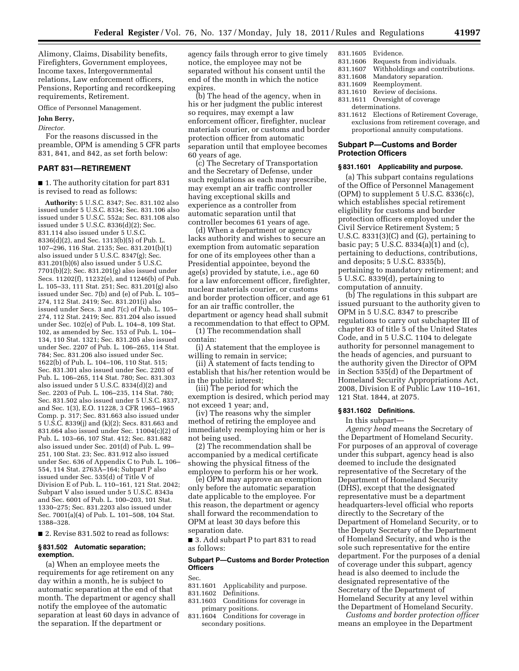Alimony, Claims, Disability benefits, Firefighters, Government employees, Income taxes, Intergovernmental relations, Law enforcement officers, Pensions, Reporting and recordkeeping requirements, Retirement.

Office of Personnel Management.

#### **John Berry,**

*Director.* 

For the reasons discussed in the preamble, OPM is amending 5 CFR parts 831, 841, and 842, as set forth below:

# **PART 831—RETIREMENT**

■ 1. The authority citation for part 831 is revised to read as follows:

**Authority:** 5 U.S.C. 8347; Sec. 831.102 also issued under 5 U.S.C. 8334; Sec. 831.106 also issued under 5 U.S.C. 552a; Sec. 831.108 also issued under 5 U.S.C. 8336(d)(2); Sec. 831.114 also issued under 5 U.S.C. 8336(d)(2), and Sec. 1313(b)(5) of Pub. L. 107–296, 116 Stat. 2135; Sec. 831.201(b)(1) also issued under 5 U.S.C. 8347(g); Sec. 831.201(b)(6) also issued under 5 U.S.C. 7701(b)(2); Sec. 831.201(g) also issued under Secs. 11202(f), 11232(e), and 11246(b) of Pub. L. 105–33, 111 Stat. 251; Sec. 831.201(g) also issued under Sec. 7(b) and (e) of Pub. L. 105– 274, 112 Stat. 2419; Sec. 831.201(i) also issued under Secs. 3 and 7(c) of Pub. L. 105– 274, 112 Stat. 2419; Sec. 831.204 also issued under Sec. 102(e) of Pub. L. 104–8, 109 Stat. 102, as amended by Sec. 153 of Pub. L. 104– 134, 110 Stat. 1321; Sec. 831.205 also issued under Sec. 2207 of Pub. L. 106–265, 114 Stat. 784; Sec. 831.206 also issued under Sec. 1622(b) of Pub. L. 104–106, 110 Stat. 515; Sec. 831.301 also issued under Sec. 2203 of Pub. L. 106–265, 114 Stat. 780; Sec. 831.303 also issued under 5 U.S.C. 8334(d)(2) and Sec. 2203 of Pub. L. 106–235, 114 Stat. 780; Sec. 831.502 also issued under 5 U.S.C. 8337, and Sec. 1(3), E.O. 11228, 3 CFR 1965–1965 Comp. p. 317; Sec. 831.663 also issued under 5 U.S.C. 8339(j) and (k)(2); Secs. 831.663 and 831.664 also issued under Sec. 11004(c)(2) of Pub. L. 103–66, 107 Stat. 412; Sec. 831.682 also issued under Sec. 201(d) of Pub. L. 99– 251, 100 Stat. 23; Sec. 831.912 also issued under Sec. 636 of Appendix C to Pub. L. 106– 554, 114 Stat. 2763A–164; Subpart P also issued under Sec. 535(d) of Title V of Division E of Pub. L. 110–161, 121 Stat. 2042; Subpart V also issued under 5 U.S.C. 8343a and Sec. 6001 of Pub. L. 100–203, 101 Stat. 1330–275; Sec. 831.2203 also issued under Sec. 7001(a)(4) of Pub. L. 101–508, 104 Stat. 1388–328.

■ 2. Revise 831.502 to read as follows:

#### **§ 831.502 Automatic separation; exemption.**

(a) When an employee meets the requirements for age retirement on any day within a month, he is subject to automatic separation at the end of that month. The department or agency shall notify the employee of the automatic separation at least 60 days in advance of the separation. If the department or

agency fails through error to give timely notice, the employee may not be separated without his consent until the end of the month in which the notice expires.

(b) The head of the agency, when in his or her judgment the public interest so requires, may exempt a law enforcement officer, firefighter, nuclear materials courier, or customs and border protection officer from automatic separation until that employee becomes 60 years of age.

(c) The Secretary of Transportation and the Secretary of Defense, under such regulations as each may prescribe, may exempt an air traffic controller having exceptional skills and experience as a controller from automatic separation until that controller becomes 61 years of age.

(d) When a department or agency lacks authority and wishes to secure an exemption from automatic separation for one of its employees other than a Presidential appointee, beyond the age(s) provided by statute, i.e., age 60 for a law enforcement officer, firefighter, nuclear materials courier, or customs and border protection officer, and age 61 for an air traffic controller, the department or agency head shall submit a recommendation to that effect to OPM.

(1) The recommendation shall contain:

(i) A statement that the employee is willing to remain in service;

(ii) A statement of facts tending to establish that his/her retention would be in the public interest;

(iii) The period for which the exemption is desired, which period may not exceed 1 year; and,

(iv) The reasons why the simpler method of retiring the employee and immediately reemploying him or her is not being used.

(2) The recommendation shall be accompanied by a medical certificate showing the physical fitness of the employee to perform his or her work.

(e) OPM may approve an exemption only before the automatic separation date applicable to the employee. For this reason, the department or agency shall forward the recommendation to OPM at least 30 days before this separation date.

■ 3. Add subpart P to part 831 to read as follows:

## **Subpart P—Customs and Border Protection Officers**

Sec.

- 831.1601 Applicability and purpose.
- 831.1602 Definitions.
- 831.1603 Conditions for coverage in primary positions.
- 831.1604 Conditions for coverage in secondary positions.
- 831.1605 Evidence.
- 831.1606 Requests from individuals.<br>831.1607 Withholdings and contribu
- 831.1607 Withholdings and contributions.<br>831.1608 Mandatory separation. Mandatory separation.
- 
- 831.1609 Reemployment.<br>831.1610 Review of decis Review of decisions.
- 831.1611 Oversight of coverage
- determinations.
- 831.1612 Elections of Retirement Coverage, exclusions from retirement coverage, and proportional annuity computations.

## **Subpart P—Customs and Border Protection Officers**

## **§ 831.1601 Applicability and purpose.**

(a) This subpart contains regulations of the Office of Personnel Management (OPM) to supplement 5 U.S.C. 8336(c), which establishes special retirement eligibility for customs and border protection officers employed under the Civil Service Retirement System; 5 U.S.C. 8331(3)(C) and (G), pertaining to basic pay; 5 U.S.C. 8334(a)(1) and (c), pertaining to deductions, contributions, and deposits; 5 U.S.C. 8335(b), pertaining to mandatory retirement; and 5 U.S.C. 8339(d), pertaining to computation of annuity.

(b) The regulations in this subpart are issued pursuant to the authority given to OPM in 5 U.S.C. 8347 to prescribe regulations to carry out subchapter III of chapter 83 of title 5 of the United States Code, and in 5 U.S.C. 1104 to delegate authority for personnel management to the heads of agencies, and pursuant to the authority given the Director of OPM in Section 535(d) of the Department of Homeland Security Appropriations Act, 2008, Division E of Public Law 110–161, 121 Stat. 1844, at 2075.

#### **§ 831.1602 Definitions.**

In this subpart—

*Agency head* means the Secretary of the Department of Homeland Security. For purposes of an approval of coverage under this subpart, agency head is also deemed to include the designated representative of the Secretary of the Department of Homeland Security (DHS), except that the designated representative must be a department headquarters-level official who reports directly to the Secretary of the Department of Homeland Security, or to the Deputy Secretary of the Department of Homeland Security, and who is the sole such representative for the entire department. For the purposes of a denial of coverage under this subpart, agency head is also deemed to include the designated representative of the Secretary of the Department of Homeland Security at any level within the Department of Homeland Security.

*Customs and border protection officer*  means an employee in the Department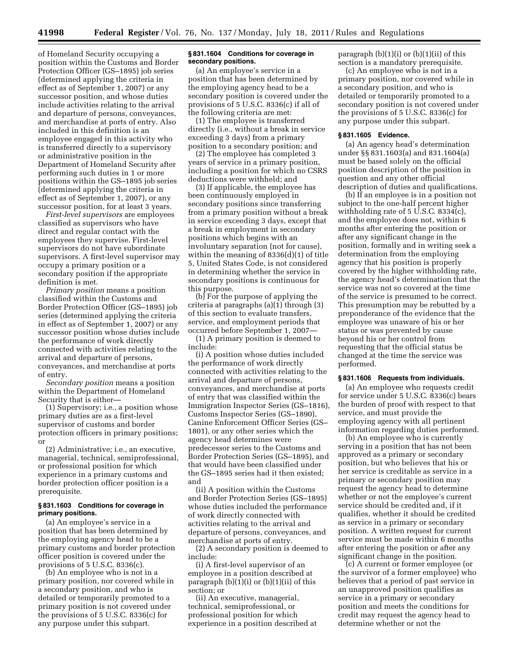of Homeland Security occupying a position within the Customs and Border Protection Officer (GS–1895) job series (determined applying the criteria in effect as of September 1, 2007) or any successor position, and whose duties include activities relating to the arrival and departure of persons, conveyances, and merchandise at ports of entry. Also included in this definition is an employee engaged in this activity who is transferred directly to a supervisory or administrative position in the Department of Homeland Security after performing such duties in 1 or more positions within the GS–1895 job series (determined applying the criteria in effect as of September 1, 2007), or any successor position, for at least 3 years.

*First-level supervisors* are employees classified as supervisors who have direct and regular contact with the employees they supervise. First-level supervisors do not have subordinate supervisors. A first-level supervisor may occupy a primary position or a secondary position if the appropriate definition is met.

*Primary position* means a position classified within the Customs and Border Protection Officer (GS–1895) job series (determined applying the criteria in effect as of September 1, 2007) or any successor position whose duties include the performance of work directly connected with activities relating to the arrival and departure of persons, conveyances, and merchandise at ports of entry.

*Secondary position* means a position within the Department of Homeland Security that is either—

(1) Supervisory; i.e., a position whose primary duties are as a first-level supervisor of customs and border protection officers in primary positions; or

(2) Administrative; i.e., an executive, managerial, technical, semiprofessional, or professional position for which experience in a primary customs and border protection officer position is a prerequisite.

#### **§ 831.1603 Conditions for coverage in primary positions.**

(a) An employee's service in a position that has been determined by the employing agency head to be a primary customs and border protection officer position is covered under the provisions of 5 U.S.C. 8336(c).

(b) An employee who is not in a primary position, nor covered while in a secondary position, and who is detailed or temporarily promoted to a primary position is not covered under the provisions of 5 U.S.C. 8336(c) for any purpose under this subpart.

#### **§ 831.1604 Conditions for coverage in secondary positions.**

(a) An employee's service in a position that has been determined by the employing agency head to be a secondary position is covered under the provisions of 5 U.S.C. 8336(c) if all of the following criteria are met:

(1) The employee is transferred directly (i.e., without a break in service exceeding 3 days) from a primary position to a secondary position; and

(2) The employee has completed 3 years of service in a primary position, including a position for which no CSRS deductions were withheld; and

(3) If applicable, the employee has been continuously employed in secondary positions since transferring from a primary position without a break in service exceeding 3 days, except that a break in employment in secondary positions which begins with an involuntary separation (not for cause), within the meaning of 8336(d)(1) of title 5, United States Code, is not considered in determining whether the service in secondary positions is continuous for this purpose.

(b) For the purpose of applying the criteria at paragraphs (a)(1) through (3) of this section to evaluate transfers, service, and employment periods that occurred before September 1, 2007—

(1) A primary position is deemed to include:

(i) A position whose duties included the performance of work directly connected with activities relating to the arrival and departure of persons, conveyances, and merchandise at ports of entry that was classified within the Immigration Inspector Series (GS–1816), Customs Inspector Series (GS–1890), Canine Enforcement Officer Series (GS– 1801), or any other series which the agency head determines were predecessor series to the Customs and Border Protection Series (GS–1895), and that would have been classified under the GS–1895 series had it then existed; and

(ii) A position within the Customs and Border Protection Series (GS–1895) whose duties included the performance of work directly connected with activities relating to the arrival and departure of persons, conveyances, and merchandise at ports of entry.

(2) A secondary position is deemed to include:

(i) A first-level supervisor of an employee in a position described at paragraph  $(b)(1)(i)$  or  $(b)(1)(ii)$  of this section; or

(ii) An executive, managerial, technical, semiprofessional, or professional position for which experience in a position described at paragraph  $(b)(1)(i)$  or  $(b)(1)(ii)$  of this section is a mandatory prerequisite.

(c) An employee who is not in a primary position, nor covered while in a secondary position, and who is detailed or temporarily promoted to a secondary position is not covered under the provisions of 5 U.S.C. 8336(c) for any purpose under this subpart.

## **§ 831.1605 Evidence.**

(a) An agency head's determination under §§ 831.1603(a) and 831.1604(a) must be based solely on the official position description of the position in question and any other official description of duties and qualifications.

(b) If an employee is in a position not subject to the one-half percent higher withholding rate of 5 U.S.C. 8334(c), and the employee does not, within 6 months after entering the position or after any significant change in the position, formally and in writing seek a determination from the employing agency that his position is properly covered by the higher withholding rate, the agency head's determination that the service was not so covered at the time of the service is presumed to be correct. This presumption may be rebutted by a preponderance of the evidence that the employee was unaware of his or her status or was prevented by cause beyond his or her control from requesting that the official status be changed at the time the service was performed.

## **§ 831.1606 Requests from individuals.**

(a) An employee who requests credit for service under 5 U.S.C. 8336(c) bears the burden of proof with respect to that service, and must provide the employing agency with all pertinent information regarding duties performed.

(b) An employee who is currently serving in a position that has not been approved as a primary or secondary position, but who believes that his or her service is creditable as service in a primary or secondary position may request the agency head to determine whether or not the employee's current service should be credited and, if it qualifies, whether it should be credited as service in a primary or secondary position. A written request for current service must be made within 6 months after entering the position or after any significant change in the position.

(c) A current or former employee (or the survivor of a former employee) who believes that a period of past service in an unapproved position qualifies as service in a primary or secondary position and meets the conditions for credit may request the agency head to determine whether or not the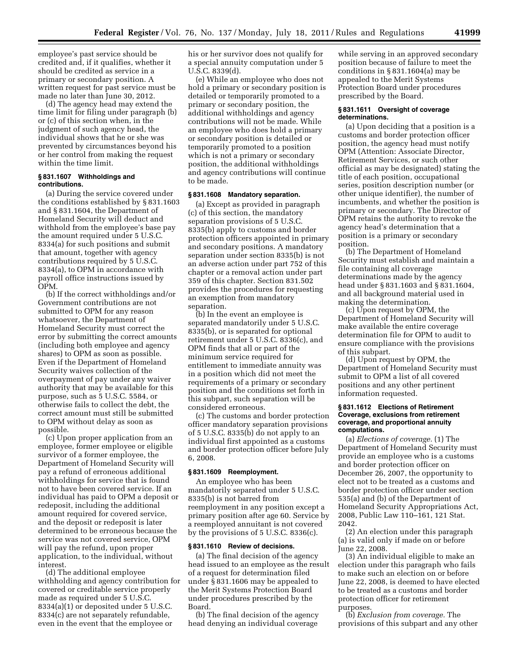employee's past service should be credited and, if it qualifies, whether it should be credited as service in a primary or secondary position. A written request for past service must be made no later than June 30, 2012.

(d) The agency head may extend the time limit for filing under paragraph (b) or (c) of this section when, in the judgment of such agency head, the individual shows that he or she was prevented by circumstances beyond his or her control from making the request within the time limit.

## **§ 831.1607 Withholdings and contributions.**

(a) During the service covered under the conditions established by § 831.1603 and § 831.1604, the Department of Homeland Security will deduct and withhold from the employee's base pay the amount required under 5 U.S.C. 8334(a) for such positions and submit that amount, together with agency contributions required by 5 U.S.C. 8334(a), to OPM in accordance with payroll office instructions issued by OPM.

(b) If the correct withholdings and/or Government contributions are not submitted to OPM for any reason whatsoever, the Department of Homeland Security must correct the error by submitting the correct amounts (including both employee and agency shares) to OPM as soon as possible. Even if the Department of Homeland Security waives collection of the overpayment of pay under any waiver authority that may be available for this purpose, such as 5 U.S.C. 5584, or otherwise fails to collect the debt, the correct amount must still be submitted to OPM without delay as soon as possible.

(c) Upon proper application from an employee, former employee or eligible survivor of a former employee, the Department of Homeland Security will pay a refund of erroneous additional withholdings for service that is found not to have been covered service. If an individual has paid to OPM a deposit or redeposit, including the additional amount required for covered service, and the deposit or redeposit is later determined to be erroneous because the service was not covered service, OPM will pay the refund, upon proper application, to the individual, without interest.

(d) The additional employee withholding and agency contribution for covered or creditable service properly made as required under 5 U.S.C. 8334(a)(1) or deposited under 5 U.S.C. 8334(c) are not separately refundable, even in the event that the employee or

his or her survivor does not qualify for a special annuity computation under 5 U.S.C. 8339(d).

(e) While an employee who does not hold a primary or secondary position is detailed or temporarily promoted to a primary or secondary position, the additional withholdings and agency contributions will not be made. While an employee who does hold a primary or secondary position is detailed or temporarily promoted to a position which is not a primary or secondary position, the additional withholdings and agency contributions will continue to be made.

## **§ 831.1608 Mandatory separation.**

(a) Except as provided in paragraph (c) of this section, the mandatory separation provisions of 5 U.S.C. 8335(b) apply to customs and border protection officers appointed in primary and secondary positions. A mandatory separation under section 8335(b) is not an adverse action under part 752 of this chapter or a removal action under part 359 of this chapter. Section 831.502 provides the procedures for requesting an exemption from mandatory separation.

(b) In the event an employee is separated mandatorily under 5 U.S.C. 8335(b), or is separated for optional retirement under 5 U.S.C. 8336(c), and OPM finds that all or part of the minimum service required for entitlement to immediate annuity was in a position which did not meet the requirements of a primary or secondary position and the conditions set forth in this subpart, such separation will be considered erroneous.

(c) The customs and border protection officer mandatory separation provisions of 5 U.S.C. 8335(b) do not apply to an individual first appointed as a customs and border protection officer before July 6, 2008.

## **§ 831.1609 Reemployment.**

An employee who has been mandatorily separated under 5 U.S.C. 8335(b) is not barred from reemployment in any position except a primary position after age 60. Service by a reemployed annuitant is not covered by the provisions of 5 U.S.C. 8336(c).

#### **§ 831.1610 Review of decisions.**

(a) The final decision of the agency head issued to an employee as the result of a request for determination filed under § 831.1606 may be appealed to the Merit Systems Protection Board under procedures prescribed by the Board.

(b) The final decision of the agency head denying an individual coverage

while serving in an approved secondary position because of failure to meet the conditions in § 831.1604(a) may be appealed to the Merit Systems Protection Board under procedures prescribed by the Board.

#### **§ 831.1611 Oversight of coverage determinations.**

(a) Upon deciding that a position is a customs and border protection officer position, the agency head must notify OPM (Attention: Associate Director, Retirement Services, or such other official as may be designated) stating the title of each position, occupational series, position description number (or other unique identifier), the number of incumbents, and whether the position is primary or secondary. The Director of OPM retains the authority to revoke the agency head's determination that a position is a primary or secondary position.

(b) The Department of Homeland Security must establish and maintain a file containing all coverage determinations made by the agency head under § 831.1603 and § 831.1604, and all background material used in making the determination.

(c) Upon request by OPM, the Department of Homeland Security will make available the entire coverage determination file for OPM to audit to ensure compliance with the provisions of this subpart.

(d) Upon request by OPM, the Department of Homeland Security must submit to OPM a list of all covered positions and any other pertinent information requested.

#### **§ 831.1612 Elections of Retirement Coverage, exclusions from retirement coverage, and proportional annuity computations.**

(a) *Elections of coverage.* (1) The Department of Homeland Security must provide an employee who is a customs and border protection officer on December 26, 2007, the opportunity to elect not to be treated as a customs and border protection officer under section 535(a) and (b) of the Department of Homeland Security Appropriations Act, 2008, Public Law 110–161, 121 Stat. 2042.

(2) An election under this paragraph (a) is valid only if made on or before June 22, 2008.

(3) An individual eligible to make an election under this paragraph who fails to make such an election on or before June 22, 2008, is deemed to have elected to be treated as a customs and border protection officer for retirement purposes.

(b) *Exclusion from coverage.* The provisions of this subpart and any other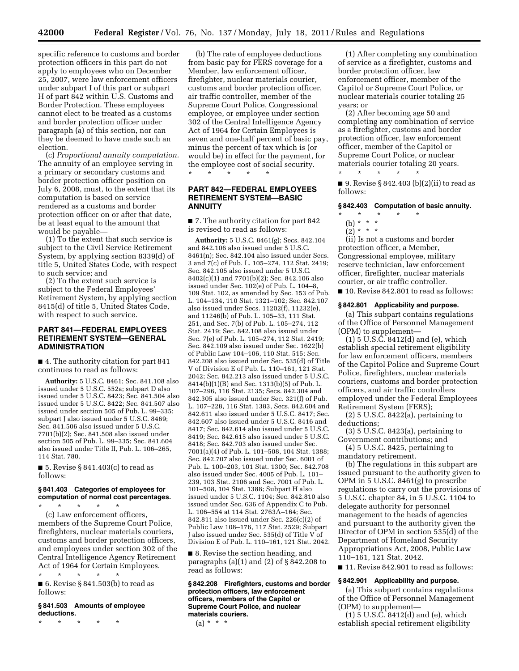specific reference to customs and border protection officers in this part do not apply to employees who on December 25, 2007, were law enforcement officers under subpart I of this part or subpart H of part 842 within U.S. Customs and Border Protection. These employees cannot elect to be treated as a customs and border protection officer under paragraph (a) of this section, nor can they be deemed to have made such an election.

(c) *Proportional annuity computation.*  The annuity of an employee serving in a primary or secondary customs and border protection officer position on July 6, 2008, must, to the extent that its computation is based on service rendered as a customs and border protection officer on or after that date, be at least equal to the amount that would be payable—

(1) To the extent that such service is subject to the Civil Service Retirement System, by applying section 8339(d) of title 5, United States Code, with respect to such service; and

(2) To the extent such service is subject to the Federal Employees' Retirement System, by applying section 8415(d) of title 5, United States Code, with respect to such service.

## **PART 841—FEDERAL EMPLOYEES RETIREMENT SYSTEM—GENERAL ADMINISTRATION**

■ 4. The authority citation for part 841 continues to read as follows:

**Authority:** 5 U.S.C. 8461; Sec. 841.108 also issued under 5 U.S.C. 552a; subpart D also issued under 5 U.S.C. 8423; Sec. 841.504 also issued under 5 U.S.C. 8422; Sec. 841.507 also issued under section 505 of Pub. L. 99–335; subpart J also issued under 5 U.S.C. 8469; Sec. 841.506 also issued under 5 U.S.C. 7701(b)(2); Sec. 841.508 also issued under section 505 of Pub. L. 99–335; Sec. 841.604 also issued under Title II, Pub. L. 106–265, 114 Stat. 780.

■ 5. Revise § 841.403(c) to read as follows:

#### **§ 841.403 Categories of employees for computation of normal cost percentages.**  \* \* \* \* \*

(c) Law enforcement officers, members of the Supreme Court Police, firefighters, nuclear materials couriers, customs and border protection officers, and employees under section 302 of the Central Intelligence Agency Retirement Act of 1964 for Certain Employees. \* \* \* \* \*

■ 6. Revise § 841.503(b) to read as follows:

#### **§ 841.503 Amounts of employee deductions.**

\* \* \* \* \*

(b) The rate of employee deductions from basic pay for FERS coverage for a Member, law enforcement officer, firefighter, nuclear materials courier, customs and border protection officer, air traffic controller, member of the Supreme Court Police, Congressional employee, or employee under section 302 of the Central Intelligence Agency Act of 1964 for Certain Employees is seven and one-half percent of basic pay, minus the percent of tax which is (or would be) in effect for the payment, for the employee cost of social security.  $*$  \*

## **PART 842—FEDERAL EMPLOYEES RETIREMENT SYSTEM—BASIC ANNUITY**

■ 7. The authority citation for part 842 is revised to read as follows:

**Authority:** 5 U.S.C. 8461(g); Secs. 842.104 and 842.106 also issued under 5 U.S.C. 8461(n); Sec. 842.104 also issued under Secs. 3 and 7(c) of Pub. L. 105–274, 112 Stat. 2419; Sec. 842.105 also issued under 5 U.S.C. 8402(c)(1) and 7701(b)(2); Sec. 842.106 also issued under Sec. 102(e) of Pub. L. 104–8, 109 Stat. 102, as amended by Sec. 153 of Pub. L. 104–134, 110 Stat. 1321–102; Sec. 842.107 also issued under Secs. 11202(f), 11232(e), and 11246(b) of Pub. L. 105–33, 111 Stat. 251, and Sec. 7(b) of Pub. L. 105–274, 112 Stat. 2419; Sec. 842.108 also issued under Sec. 7(e) of Pub. L. 105–274, 112 Stat. 2419; Sec. 842.109 also issued under Sec. 1622(b) of Public Law 104–106, 110 Stat. 515; Sec. 842.208 also issued under Sec. 535(d) of Title V of Division E of Pub. L. 110–161, 121 Stat. 2042; Sec. 842.213 also issued under 5 U.S.C. 8414(b)(1)(B) and Sec. 1313(b)(5) of Pub. L. 107–296, 116 Stat. 2135; Secs. 842.304 and 842.305 also issued under Sec. 321(f) of Pub. L. 107–228, 116 Stat. 1383, Secs. 842.604 and 842.611 also issued under 5 U.S.C. 8417; Sec. 842.607 also issued under 5 U.S.C. 8416 and 8417; Sec. 842.614 also issued under 5 U.S.C. 8419; Sec. 842.615 also issued under 5 U.S.C. 8418; Sec. 842.703 also issued under Sec. 7001(a)(4) of Pub. L. 101–508, 104 Stat. 1388; Sec. 842.707 also issued under Sec. 6001 of Pub. L. 100–203, 101 Stat. 1300; Sec. 842.708 also issued under Sec. 4005 of Pub. L. 101– 239, 103 Stat. 2106 and Sec. 7001 of Pub. L. 101–508, 104 Stat. 1388; Subpart H also issued under 5 U.S.C. 1104; Sec. 842.810 also issued under Sec. 636 of Appendix C to Pub. L. 106–554 at 114 Stat. 2763A–164; Sec. 842.811 also issued under Sec. 226(c)(2) of Public Law 108–176, 117 Stat. 2529; Subpart J also issued under Sec. 535(d) of Title V of Division E of Pub. L. 110–161, 121 Stat. 2042.

■ 8. Revise the section heading, and paragraphs (a)(1) and (2) of § 842.208 to read as follows:

**§ 842.208 Firefighters, customs and border protection officers, law enforcement officers, members of the Capitol or Supreme Court Police, and nuclear materials couriers.** 

 $(a) * * * *$ 

(1) After completing any combination of service as a firefighter, customs and border protection officer, law enforcement officer, member of the Capitol or Supreme Court Police, or nuclear materials courier totaling 25 years; or

(2) After becoming age 50 and completing any combination of service as a firefighter, customs and border protection officer, law enforcement officer, member of the Capitol or Supreme Court Police, or nuclear materials courier totaling 20 years. \* \* \* \* \*

■ 9. Revise § 842.403 (b)(2)(ii) to read as follows:

#### **§ 842.403 Computation of basic annuity.**

\* \* \* \* \*

(b) \* \* \*  $(2)^{\ast}$  \* \*

(ii) Is not a customs and border protection officer, a Member, Congressional employee, military reserve technician, law enforcement officer, firefighter, nuclear materials courier, or air traffic controller.

■ 10. Revise 842,801 to read as follows:

#### **§ 842.801 Applicability and purpose.**

(a) This subpart contains regulations of the Office of Personnel Management (OPM) to supplement—

(1) 5 U.S.C. 8412(d) and (e), which establish special retirement eligibility for law enforcement officers, members of the Capitol Police and Supreme Court Police, firefighters, nuclear materials couriers, customs and border protection officers, and air traffic controllers employed under the Federal Employees Retirement System (FERS);

(2) 5 U.S.C. 8422(a), pertaining to deductions;

(3) 5 U.S.C. 8423(a), pertaining to Government contributions; and

(4) 5 U.S.C. 8425, pertaining to mandatory retirement.

(b) The regulations in this subpart are issued pursuant to the authority given to OPM in 5 U.S.C. 8461(g) to prescribe regulations to carry out the provisions of 5 U.S.C. chapter 84, in 5 U.S.C. 1104 to delegate authority for personnel management to the heads of agencies and pursuant to the authority given the Director of OPM in section 535(d) of the Department of Homeland Security Appropriations Act, 2008, Public Law 110–161, 121 Stat. 2042.

■ 11. Revise 842.901 to read as follows:

#### **§ 842.901 Applicability and purpose.**

(a) This subpart contains regulations of the Office of Personnel Management (OPM) to supplement—

 $(1)$  5 U.S.C. 8412 $(d)$  and  $(e)$ , which establish special retirement eligibility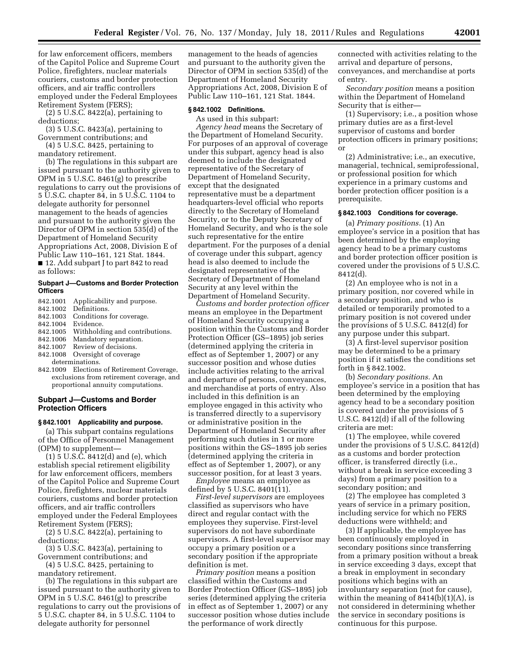for law enforcement officers, members of the Capitol Police and Supreme Court Police, firefighters, nuclear materials couriers, customs and border protection officers, and air traffic controllers employed under the Federal Employees Retirement System (FERS);

(2) 5 U.S.C. 8422(a), pertaining to deductions;

(3) 5 U.S.C. 8423(a), pertaining to Government contributions; and

(4) 5 U.S.C. 8425, pertaining to mandatory retirement.

(b) The regulations in this subpart are issued pursuant to the authority given to OPM in 5 U.S.C. 8461(g) to prescribe regulations to carry out the provisions of 5 U.S.C. chapter 84, in 5 U.S.C. 1104 to delegate authority for personnel management to the heads of agencies and pursuant to the authority given the Director of OPM in section 535(d) of the Department of Homeland Security Appropriations Act, 2008, Division E of Public Law 110–161, 121 Stat. 1844.

■ 12. Add subpart J to part 842 to read as follows:

## **Subpart J—Customs and Border Protection Officers**

- 842.1001 Applicability and purpose.
- 842.1002 Definitions.
- 842.1003 Conditions for coverage.
- 842.1004 Evidence.<br>842.1005 Withhold:
- Withholding and contributions. 842.1006 Mandatory separation.
- 842.1007 Review of decisions.
- 842.1008 Oversight of coverage
- determinations.
- 842.1009 Elections of Retirement Coverage, exclusions from retirement coverage, and proportional annuity computations.

## **Subpart J—Customs and Border Protection Officers**

## **§ 842.1001 Applicability and purpose.**

(a) This subpart contains regulations of the Office of Personnel Management (OPM) to supplement—

 $(1)$  5 U.S. $\hat{C}$ . 8412 $(d)$  and  $(e)$ , which establish special retirement eligibility for law enforcement officers, members of the Capitol Police and Supreme Court Police, firefighters, nuclear materials couriers, customs and border protection officers, and air traffic controllers employed under the Federal Employees Retirement System (FERS);

(2) 5 U.S.C. 8422(a), pertaining to deductions;

(3) 5 U.S.C. 8423(a), pertaining to Government contributions; and

(4) 5 U.S.C. 8425, pertaining to mandatory retirement.

(b) The regulations in this subpart are issued pursuant to the authority given to OPM in 5 U.S.C. 8461(g) to prescribe regulations to carry out the provisions of 5 U.S.C. chapter 84, in 5 U.S.C. 1104 to delegate authority for personnel

management to the heads of agencies and pursuant to the authority given the Director of OPM in section 535(d) of the Department of Homeland Security Appropriations Act, 2008, Division E of Public Law 110–161, 121 Stat. 1844.

#### **§ 842.1002 Definitions.**

As used in this subpart:

*Agency head* means the Secretary of the Department of Homeland Security. For purposes of an approval of coverage under this subpart, agency head is also deemed to include the designated representative of the Secretary of Department of Homeland Security, except that the designated representative must be a department headquarters-level official who reports directly to the Secretary of Homeland Security, or to the Deputy Secretary of Homeland Security, and who is the sole such representative for the entire department. For the purposes of a denial of coverage under this subpart, agency head is also deemed to include the designated representative of the Secretary of Department of Homeland Security at any level within the Department of Homeland Security.

*Customs and border protection officer*  means an employee in the Department of Homeland Security occupying a position within the Customs and Border Protection Officer (GS–1895) job series (determined applying the criteria in effect as of September 1, 2007) or any successor position and whose duties include activities relating to the arrival and departure of persons, conveyances, and merchandise at ports of entry. Also included in this definition is an employee engaged in this activity who is transferred directly to a supervisory or administrative position in the Department of Homeland Security after performing such duties in 1 or more positions within the GS–1895 job series (determined applying the criteria in effect as of September 1, 2007), or any successor position, for at least 3 years.

*Employee* means an employee as defined by 5 U.S.C. 8401(11).

*First-level supervisors* are employees classified as supervisors who have direct and regular contact with the employees they supervise. First-level supervisors do not have subordinate supervisors. A first-level supervisor may occupy a primary position or a secondary position if the appropriate definition is met.

*Primary position* means a position classified within the Customs and Border Protection Officer (GS–1895) job series (determined applying the criteria in effect as of September 1, 2007) or any successor position whose duties include the performance of work directly

connected with activities relating to the arrival and departure of persons, conveyances, and merchandise at ports of entry.

*Secondary position* means a position within the Department of Homeland Security that is either—

(1) Supervisory; i.e., a position whose primary duties are as a first-level supervisor of customs and border protection officers in primary positions; or

(2) Administrative; i.e., an executive, managerial, technical, semiprofessional, or professional position for which experience in a primary customs and border protection officer position is a prerequisite.

# **§ 842.1003 Conditions for coverage.**

(a) *Primary positions.* (1) An employee's service in a position that has been determined by the employing agency head to be a primary customs and border protection officer position is covered under the provisions of 5 U.S.C. 8412(d).

(2) An employee who is not in a primary position, nor covered while in a secondary position, and who is detailed or temporarily promoted to a primary position is not covered under the provisions of 5 U.S.C. 8412(d) for any purpose under this subpart.

(3) A first-level supervisor position may be determined to be a primary position if it satisfies the conditions set forth in § 842.1002.

(b) *Secondary positions.* An employee's service in a position that has been determined by the employing agency head to be a secondary position is covered under the provisions of 5 U.S.C. 8412(d) if all of the following criteria are met:

(1) The employee, while covered under the provisions of 5 U.S.C. 8412(d) as a customs and border protection officer, is transferred directly (i.e., without a break in service exceeding 3 days) from a primary position to a secondary position; and

(2) The employee has completed 3 years of service in a primary position, including service for which no FERS deductions were withheld; and

(3) If applicable, the employee has been continuously employed in secondary positions since transferring from a primary position without a break in service exceeding 3 days, except that a break in employment in secondary positions which begins with an involuntary separation (not for cause), within the meaning of 8414(b)(1)(A), is not considered in determining whether the service in secondary positions is continuous for this purpose.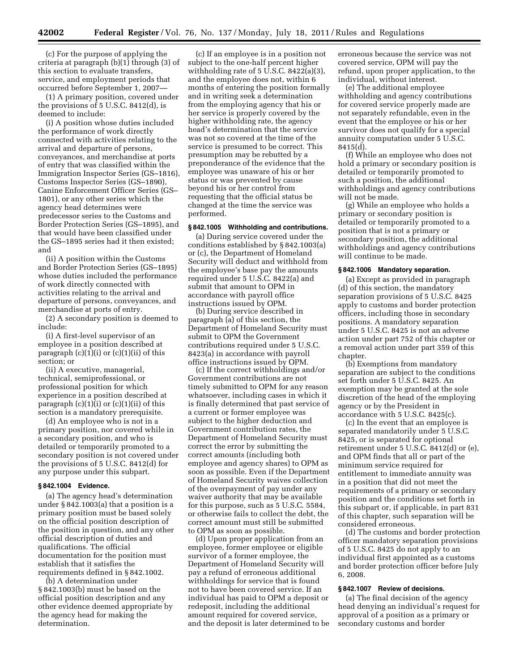(c) For the purpose of applying the criteria at paragraph (b)(1) through (3) of this section to evaluate transfers, service, and employment periods that occurred before September 1, 2007—

(1) A primary position, covered under the provisions of 5 U.S.C. 8412(d), is deemed to include:

(i) A position whose duties included the performance of work directly connected with activities relating to the arrival and departure of persons, conveyances, and merchandise at ports of entry that was classified within the Immigration Inspector Series (GS–1816), Customs Inspector Series (GS–1890), Canine Enforcement Officer Series (GS– 1801), or any other series which the agency head determines were predecessor series to the Customs and Border Protection Series (GS–1895), and that would have been classified under the GS–1895 series had it then existed; and

(ii) A position within the Customs and Border Protection Series (GS–1895) whose duties included the performance of work directly connected with activities relating to the arrival and departure of persons, conveyances, and merchandise at ports of entry.

(2) A secondary position is deemed to include:

(i) A first-level supervisor of an employee in a position described at paragraph  $(c)(1)(i)$  or  $(c)(1)(ii)$  of this section; or

(ii) A executive, managerial, technical, semiprofessional, or professional position for which experience in a position described at paragraph  $(c)(1)(i)$  or  $(c)(1)(ii)$  of this section is a mandatory prerequisite.

(d) An employee who is not in a primary position, nor covered while in a secondary position, and who is detailed or temporarily promoted to a secondary position is not covered under the provisions of 5 U.S.C. 8412(d) for any purpose under this subpart.

#### **§ 842.1004 Evidence.**

(a) The agency head's determination under § 842.1003(a) that a position is a primary position must be based solely on the official position description of the position in question, and any other official description of duties and qualifications. The official documentation for the position must establish that it satisfies the requirements defined in § 842.1002.

(b) A determination under § 842.1003(b) must be based on the official position description and any other evidence deemed appropriate by the agency head for making the determination.

(c) If an employee is in a position not subject to the one-half percent higher withholding rate of 5 U.S.C. 8422(a)(3), and the employee does not, within 6 months of entering the position formally and in writing seek a determination from the employing agency that his or her service is properly covered by the higher withholding rate, the agency head's determination that the service was not so covered at the time of the service is presumed to be correct. This presumption may be rebutted by a preponderance of the evidence that the employee was unaware of his or her status or was prevented by cause beyond his or her control from requesting that the official status be changed at the time the service was performed.

# **§ 842.1005 Withholding and contributions.**

(a) During service covered under the conditions established by § 842.1003(a) or (c), the Department of Homeland Security will deduct and withhold from the employee's base pay the amounts required under 5 U.S.C. 8422(a) and submit that amount to OPM in accordance with payroll office instructions issued by OPM.

(b) During service described in paragraph (a) of this section, the Department of Homeland Security must submit to OPM the Government contributions required under 5 U.S.C. 8423(a) in accordance with payroll office instructions issued by OPM.

(c) If the correct withholdings and/or Government contributions are not timely submitted to OPM for any reason whatsoever, including cases in which it is finally determined that past service of a current or former employee was subject to the higher deduction and Government contribution rates, the Department of Homeland Security must correct the error by submitting the correct amounts (including both employee and agency shares) to OPM as soon as possible. Even if the Department of Homeland Security waives collection of the overpayment of pay under any waiver authority that may be available for this purpose, such as 5 U.S.C. 5584, or otherwise fails to collect the debt, the correct amount must still be submitted to OPM as soon as possible.

(d) Upon proper application from an employee, former employee or eligible survivor of a former employee, the Department of Homeland Security will pay a refund of erroneous additional withholdings for service that is found not to have been covered service. If an individual has paid to OPM a deposit or redeposit, including the additional amount required for covered service, and the deposit is later determined to be

erroneous because the service was not covered service, OPM will pay the refund, upon proper application, to the individual, without interest.

(e) The additional employee withholding and agency contributions for covered service properly made are not separately refundable, even in the event that the employee or his or her survivor does not qualify for a special annuity computation under 5 U.S.C. 8415(d).

(f) While an employee who does not hold a primary or secondary position is detailed or temporarily promoted to such a position, the additional withholdings and agency contributions will not be made.

(g) While an employee who holds a primary or secondary position is detailed or temporarily promoted to a position that is not a primary or secondary position, the additional withholdings and agency contributions will continue to be made.

#### **§ 842.1006 Mandatory separation.**

(a) Except as provided in paragraph (d) of this section, the mandatory separation provisions of 5 U.S.C. 8425 apply to customs and border protection officers, including those in secondary positions. A mandatory separation under 5 U.S.C. 8425 is not an adverse action under part 752 of this chapter or a removal action under part 359 of this chapter.

(b) Exemptions from mandatory separation are subject to the conditions set forth under 5 U.S.C. 8425. An exemption may be granted at the sole discretion of the head of the employing agency or by the President in accordance with 5 U.S.C. 8425(c).

(c) In the event that an employee is separated mandatorily under 5 U.S.C. 8425, or is separated for optional retirement under 5 U.S.C. 8412(d) or (e), and OPM finds that all or part of the minimum service required for entitlement to immediate annuity was in a position that did not meet the requirements of a primary or secondary position and the conditions set forth in this subpart or, if applicable, in part 831 of this chapter, such separation will be considered erroneous.

(d) The customs and border protection officer mandatory separation provisions of 5 U.S.C. 8425 do not apply to an individual first appointed as a customs and border protection officer before July 6, 2008.

#### **§ 842.1007 Review of decisions.**

(a) The final decision of the agency head denying an individual's request for approval of a position as a primary or secondary customs and border